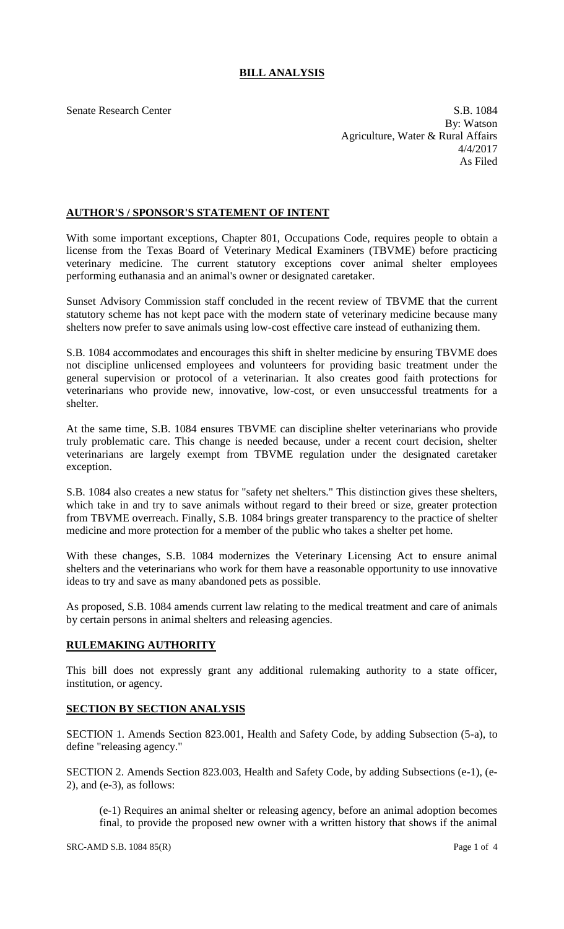## **BILL ANALYSIS**

Senate Research Center S.B. 1084 By: Watson Agriculture, Water & Rural Affairs 4/4/2017 As Filed

## **AUTHOR'S / SPONSOR'S STATEMENT OF INTENT**

With some important exceptions, Chapter 801, Occupations Code, requires people to obtain a license from the Texas Board of Veterinary Medical Examiners (TBVME) before practicing veterinary medicine. The current statutory exceptions cover animal shelter employees performing euthanasia and an animal's owner or designated caretaker.

Sunset Advisory Commission staff concluded in the recent review of TBVME that the current statutory scheme has not kept pace with the modern state of veterinary medicine because many shelters now prefer to save animals using low-cost effective care instead of euthanizing them.

S.B. 1084 accommodates and encourages this shift in shelter medicine by ensuring TBVME does not discipline unlicensed employees and volunteers for providing basic treatment under the general supervision or protocol of a veterinarian. It also creates good faith protections for veterinarians who provide new, innovative, low-cost, or even unsuccessful treatments for a shelter.

At the same time, S.B. 1084 ensures TBVME can discipline shelter veterinarians who provide truly problematic care. This change is needed because, under a recent court decision, shelter veterinarians are largely exempt from TBVME regulation under the designated caretaker exception.

S.B. 1084 also creates a new status for "safety net shelters." This distinction gives these shelters, which take in and try to save animals without regard to their breed or size, greater protection from TBVME overreach. Finally, S.B. 1084 brings greater transparency to the practice of shelter medicine and more protection for a member of the public who takes a shelter pet home.

With these changes, S.B. 1084 modernizes the Veterinary Licensing Act to ensure animal shelters and the veterinarians who work for them have a reasonable opportunity to use innovative ideas to try and save as many abandoned pets as possible.

As proposed, S.B. 1084 amends current law relating to the medical treatment and care of animals by certain persons in animal shelters and releasing agencies.

## **RULEMAKING AUTHORITY**

This bill does not expressly grant any additional rulemaking authority to a state officer, institution, or agency.

## **SECTION BY SECTION ANALYSIS**

SECTION 1. Amends Section 823.001, Health and Safety Code, by adding Subsection (5-a), to define "releasing agency."

SECTION 2. Amends Section 823.003, Health and Safety Code, by adding Subsections (e-1), (e-2), and (e-3), as follows:

(e-1) Requires an animal shelter or releasing agency, before an animal adoption becomes final, to provide the proposed new owner with a written history that shows if the animal

 $SRC-AMD S.B. 1084 85(R)$  Page 1 of 4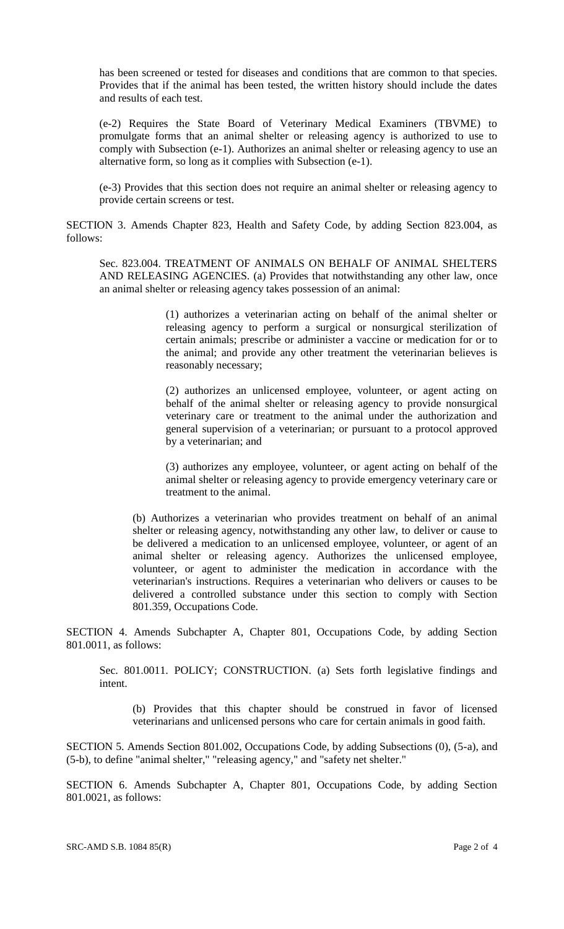has been screened or tested for diseases and conditions that are common to that species. Provides that if the animal has been tested, the written history should include the dates and results of each test.

(e-2) Requires the State Board of Veterinary Medical Examiners (TBVME) to promulgate forms that an animal shelter or releasing agency is authorized to use to comply with Subsection (e-1). Authorizes an animal shelter or releasing agency to use an alternative form, so long as it complies with Subsection (e-1).

(e-3) Provides that this section does not require an animal shelter or releasing agency to provide certain screens or test.

SECTION 3. Amends Chapter 823, Health and Safety Code, by adding Section 823.004, as follows:

Sec. 823.004. TREATMENT OF ANIMALS ON BEHALF OF ANIMAL SHELTERS AND RELEASING AGENCIES. (a) Provides that notwithstanding any other law, once an animal shelter or releasing agency takes possession of an animal:

> (1) authorizes a veterinarian acting on behalf of the animal shelter or releasing agency to perform a surgical or nonsurgical sterilization of certain animals; prescribe or administer a vaccine or medication for or to the animal; and provide any other treatment the veterinarian believes is reasonably necessary;

> (2) authorizes an unlicensed employee, volunteer, or agent acting on behalf of the animal shelter or releasing agency to provide nonsurgical veterinary care or treatment to the animal under the authorization and general supervision of a veterinarian; or pursuant to a protocol approved by a veterinarian; and

> (3) authorizes any employee, volunteer, or agent acting on behalf of the animal shelter or releasing agency to provide emergency veterinary care or treatment to the animal.

(b) Authorizes a veterinarian who provides treatment on behalf of an animal shelter or releasing agency, notwithstanding any other law, to deliver or cause to be delivered a medication to an unlicensed employee, volunteer, or agent of an animal shelter or releasing agency. Authorizes the unlicensed employee, volunteer, or agent to administer the medication in accordance with the veterinarian's instructions. Requires a veterinarian who delivers or causes to be delivered a controlled substance under this section to comply with Section 801.359, Occupations Code.

SECTION 4. Amends Subchapter A, Chapter 801, Occupations Code, by adding Section 801.0011, as follows:

Sec. 801.0011. POLICY; CONSTRUCTION. (a) Sets forth legislative findings and intent.

(b) Provides that this chapter should be construed in favor of licensed veterinarians and unlicensed persons who care for certain animals in good faith.

SECTION 5. Amends Section 801.002, Occupations Code, by adding Subsections (0), (5-a), and (5-b), to define "animal shelter," "releasing agency," and "safety net shelter."

SECTION 6. Amends Subchapter A, Chapter 801, Occupations Code, by adding Section 801.0021, as follows: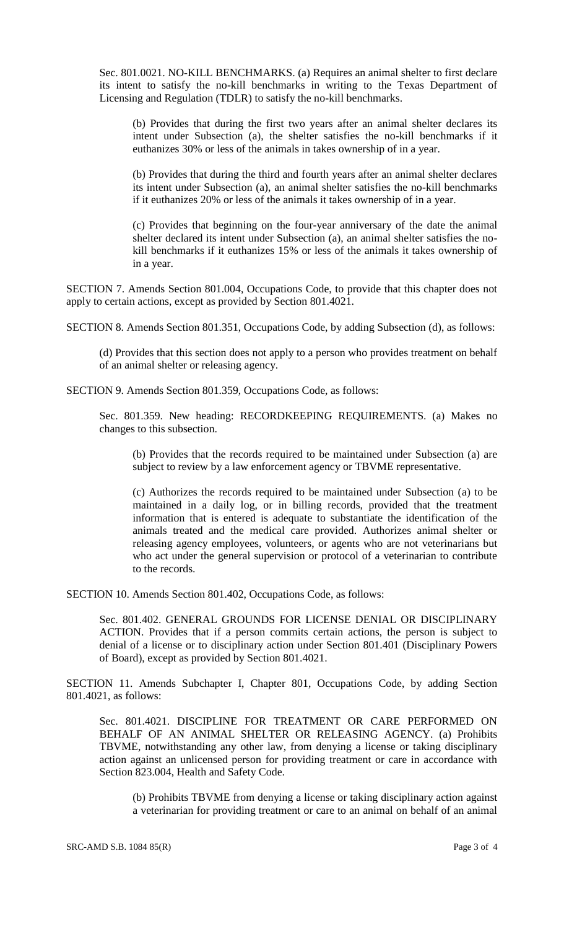Sec. 801.0021. NO-KILL BENCHMARKS. (a) Requires an animal shelter to first declare its intent to satisfy the no-kill benchmarks in writing to the Texas Department of Licensing and Regulation (TDLR) to satisfy the no-kill benchmarks.

(b) Provides that during the first two years after an animal shelter declares its intent under Subsection (a), the shelter satisfies the no-kill benchmarks if it euthanizes 30% or less of the animals in takes ownership of in a year.

(b) Provides that during the third and fourth years after an animal shelter declares its intent under Subsection (a), an animal shelter satisfies the no-kill benchmarks if it euthanizes 20% or less of the animals it takes ownership of in a year.

(c) Provides that beginning on the four-year anniversary of the date the animal shelter declared its intent under Subsection (a), an animal shelter satisfies the nokill benchmarks if it euthanizes 15% or less of the animals it takes ownership of in a year.

SECTION 7. Amends Section 801.004, Occupations Code, to provide that this chapter does not apply to certain actions, except as provided by Section 801.4021.

SECTION 8. Amends Section 801.351, Occupations Code, by adding Subsection (d), as follows:

(d) Provides that this section does not apply to a person who provides treatment on behalf of an animal shelter or releasing agency.

SECTION 9. Amends Section 801.359, Occupations Code, as follows:

Sec. 801.359. New heading: RECORDKEEPING REQUIREMENTS. (a) Makes no changes to this subsection.

(b) Provides that the records required to be maintained under Subsection (a) are subject to review by a law enforcement agency or TBVME representative.

(c) Authorizes the records required to be maintained under Subsection (a) to be maintained in a daily log, or in billing records, provided that the treatment information that is entered is adequate to substantiate the identification of the animals treated and the medical care provided. Authorizes animal shelter or releasing agency employees, volunteers, or agents who are not veterinarians but who act under the general supervision or protocol of a veterinarian to contribute to the records.

SECTION 10. Amends Section 801.402, Occupations Code, as follows:

Sec. 801.402. GENERAL GROUNDS FOR LICENSE DENIAL OR DISCIPLINARY ACTION. Provides that if a person commits certain actions, the person is subject to denial of a license or to disciplinary action under Section 801.401 (Disciplinary Powers of Board), except as provided by Section 801.4021.

SECTION 11. Amends Subchapter I, Chapter 801, Occupations Code, by adding Section 801.4021, as follows:

Sec. 801.4021. DISCIPLINE FOR TREATMENT OR CARE PERFORMED ON BEHALF OF AN ANIMAL SHELTER OR RELEASING AGENCY. (a) Prohibits TBVME, notwithstanding any other law, from denying a license or taking disciplinary action against an unlicensed person for providing treatment or care in accordance with Section 823.004, Health and Safety Code.

(b) Prohibits TBVME from denying a license or taking disciplinary action against a veterinarian for providing treatment or care to an animal on behalf of an animal